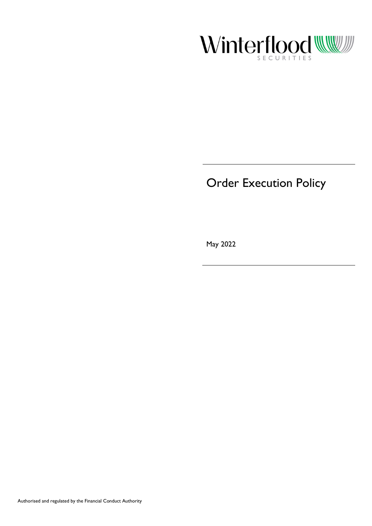

# Order Execution Policy

May 2022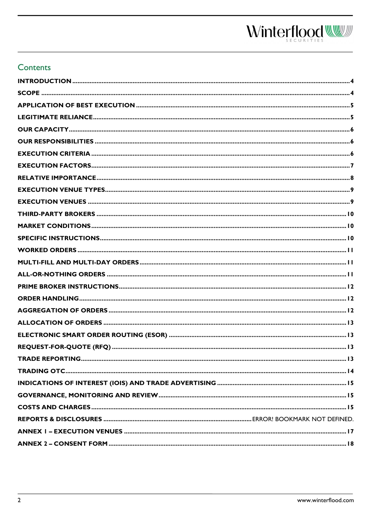### **Contents**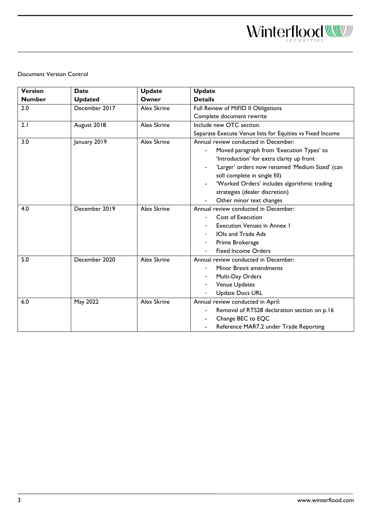Document Version Control

| <b>Version</b> | <b>Date</b>    | <b>Update</b>      | <b>Update</b>                                             |  |
|----------------|----------------|--------------------|-----------------------------------------------------------|--|
| <b>Number</b>  | <b>Updated</b> | Owner              | <b>Details</b>                                            |  |
| 2.0            | December 2017  | <b>Alex Skrine</b> | Full Review of MiFID II Obligations                       |  |
|                |                |                    | Complete document rewrite                                 |  |
| 2.1            | August 2018    | <b>Alex Skrine</b> | Include new OTC section.                                  |  |
|                |                |                    | Separate Execute Venue lists for Equities vs Fixed Income |  |
| 3.0            | January 2019   | <b>Alex Skrine</b> | Annual review conducted in December:                      |  |
|                |                |                    | Moved paragraph from 'Execution Types' to                 |  |
|                |                |                    | 'Introduction' for extra clarity up front                 |  |
|                |                |                    | 'Larger' orders now renamed 'Medium Sized' (can           |  |
|                |                |                    | still complete in single fill)                            |  |
|                |                |                    | 'Worked Orders' includes algorithmic trading              |  |
|                |                |                    | strategies (dealer discretion)                            |  |
|                |                |                    | Other minor text changes                                  |  |
| 4.0            | December 2019  | <b>Alex Skrine</b> | Annual review conducted in December:                      |  |
|                |                |                    | Cost of Execution                                         |  |
|                |                |                    | <b>Execution Venues in Annex 1</b>                        |  |
|                |                |                    | <b>IOIs and Trade Ads</b>                                 |  |
|                |                |                    | Prime Brokerage                                           |  |
|                |                |                    | <b>Fixed Income Orders</b>                                |  |
| 5.0            | December 2020  | <b>Alex Skrine</b> | Annual review conducted in December:                      |  |
|                |                |                    | Minor Brexit amendments                                   |  |
|                |                |                    | Multi-Day Orders                                          |  |
|                |                |                    | Venue Updates                                             |  |
|                |                |                    | <b>Update Docs URL</b>                                    |  |
| 6.0            | May 2022       | <b>Alex Skrine</b> | Annual review conducted in April:                         |  |
|                |                |                    | Removal of RTS28 declaration section on p.16              |  |
|                |                |                    | Change BEC to EQC                                         |  |
|                |                |                    | Reference MAR7.2 under Trade Reporting                    |  |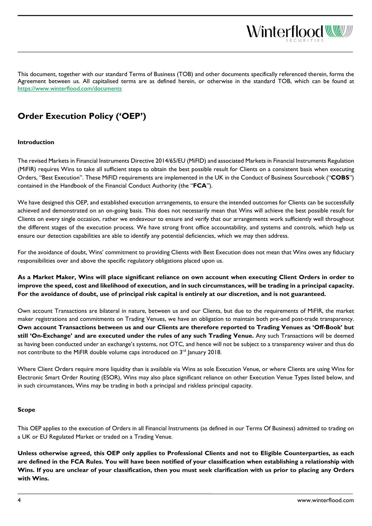This document, together with our standard Terms of Business (TOB) and other documents specifically referenced therein, forms the Agreement between us. All capitalised terms are as defined herein, or otherwise in the standard TOB, which can be found at <https://www.winterflood.com/documents>

Winterflood

# **Order Execution Policy ('OEP')**

#### <span id="page-3-0"></span>**Introduction**

The revised Markets in Financial Instruments Directive 2014/65/EU (MiFID) and associated Markets in Financial Instruments Regulation (MiFIR) requires Wins to take all sufficient steps to obtain the best possible result for Clients on a consistent basis when executing Orders, "Best Execution". These MiFID requirements are implemented in the UK in the Conduct of Business Sourcebook ("**COBS**") contained in the Handbook of the Financial Conduct Authority (the "**FCA**").

We have designed this OEP, and established execution arrangements, to ensure the intended outcomes for Clients can be successfully achieved and demonstrated on an on-going basis. This does not necessarily mean that Wins will achieve the best possible result for Clients on every single occasion, rather we endeavour to ensure and verify that our arrangements work sufficiently well throughout the different stages of the execution process. We have strong front office accountability, and systems and controls, which help us ensure our detection capabilities are able to identify any potential deficiencies, which we may then address.

For the avoidance of doubt, Wins' commitment to providing Clients with Best Execution does not mean that Wins owes any fiduciary responsibilities over and above the specific regulatory obligations placed upon us.

**As a Market Maker, Wins will place significant reliance on own account when executing Client Orders in order to improve the speed, cost and likelihood of execution, and in such circumstances, will be trading in a principal capacity. For the avoidance of doubt, use of principal risk capital is entirely at our discretion, and is not guaranteed.**

Own account Transactions are bilateral in nature, between us and our Clients, but due to the requirements of MiFIR, the market maker registrations and commitments on Trading Venues, we have an obligation to maintain both pre-and post-trade transparency. **Own account Transactions between us and our Clients are therefore reported to Trading Venues as 'Off-Book' but still 'On-Exchange' and are executed under the rules of any such Trading Venue.** Any such Transactions will be deemed as having been conducted under an exchange's systems, not OTC, and hence will not be subject to a transparency waiver and thus do not contribute to the MiFIR double volume caps introduced on 3<sup>rd</sup> January 2018.

Where Client Orders require more liquidity than is available via Wins as sole Execution Venue, or where Clients are using Wins for Electronic Smart Order Routing (ESOR), Wins may also place significant reliance on other Execution Venue Types listed below, and in such circumstances, Wins may be trading in both a principal and riskless principal capacity.

#### <span id="page-3-1"></span>**Scope**

This OEP applies to the execution of Orders in all Financial Instruments (as defined in our Terms Of Business) admitted to trading on a UK or EU Regulated Market or traded on a Trading Venue.

**Unless otherwise agreed, this OEP only applies to Professional Clients and not to Eligible Counterparties, as each are defined in the FCA Rules. You will have been notified of your classification when establishing a relationship with Wins. If you are unclear of your classification, then you must seek clarification with us prior to placing any Orders with Wins.**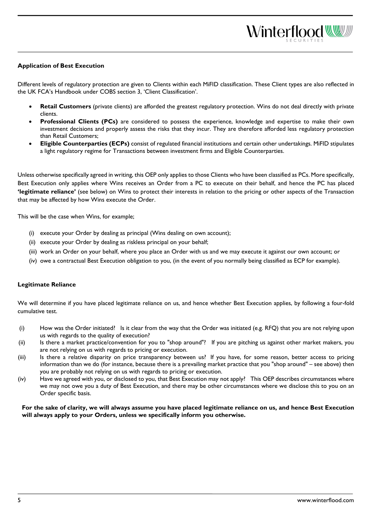#### <span id="page-4-0"></span>**Application of Best Execution**

Different levels of regulatory protection are given to Clients within each MiFID classification. These Client types are also reflected in the UK FCA's Handbook under COBS section 3, 'Client Classification'.

- **Retail Customers** (private clients) are afforded the greatest regulatory protection. Wins do not deal directly with private clients.
- Professional Clients (PCs) are considered to possess the experience, knowledge and expertise to make their own investment decisions and properly assess the risks that they incur. They are therefore afforded less regulatory protection than Retail Customers;
- **Eligible Counterparties (ECPs)** consist of regulated financial institutions and certain other undertakings. MiFID stipulates a light regulatory regime for Transactions between investment firms and Eligible Counterparties.

Unless otherwise specifically agreed in writing, this OEP only applies to those Clients who have been classified as PCs. More specifically, Best Execution only applies where Wins receives an Order from a PC to execute on their behalf, and hence the PC has placed **'legitimate reliance'** (see below) on Wins to protect their interests in relation to the pricing or other aspects of the Transaction that may be affected by how Wins execute the Order.

This will be the case when Wins, for example;

- (i) execute your Order by dealing as principal (Wins dealing on own account);
- (ii) execute your Order by dealing as riskless principal on your behalf;
- (iii) work an Order on your behalf, where you place an Order with us and we may execute it against our own account; or
- (iv) owe a contractual Best Execution obligation to you, (in the event of you normally being classified as ECP for example).

#### <span id="page-4-1"></span>**Legitimate Reliance**

We will determine if you have placed legitimate reliance on us, and hence whether Best Execution applies, by following a four-fold cumulative test.

- (i) How was the Order initiated? Is it clear from the way that the Order was initiated (e.g. RFQ) that you are not relying upon us with regards to the quality of execution?
- (ii) Is there a market practice/convention for you to "shop around"? If you are pitching us against other market makers, you are not relying on us with regards to pricing or execution.
- (iii) Is there a relative disparity on price transparency between us? If you have, for some reason, better access to pricing information than we do (for instance, because there is a prevailing market practice that you "shop around" – see above) then you are probably not relying on us with regards to pricing or execution.
- (iv) Have we agreed with you, or disclosed to you, that Best Execution may not apply? This OEP describes circumstances where we may not owe you a duty of Best Execution, and there may be other circumstances where we disclose this to you on an Order specific basis.

**For the sake of clarity, we will always assume you have placed legitimate reliance on us, and hence Best Execution will always apply to your Orders, unless we specifically inform you otherwise.**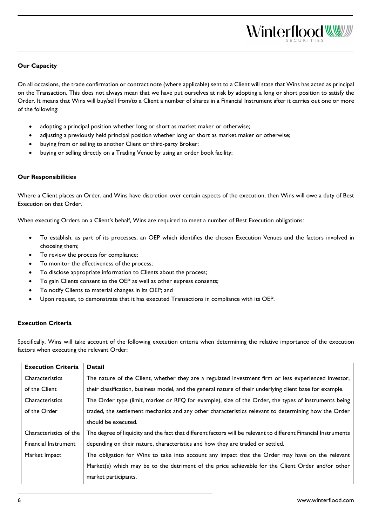## <span id="page-5-0"></span>**Our Capacity**

On all occasions, the trade confirmation or contract note (where applicable) sent to a Client will state that Wins has acted as principal on the Transaction. This does not always mean that we have put ourselves at risk by adopting a long or short position to satisfy the Order. It means that Wins will buy/sell from/to a Client a number of shares in a Financial Instrument after it carries out one or more of the following:

- adopting a principal position whether long or short as market maker or otherwise;
- adjusting a previously held principal position whether long or short as market maker or otherwise;
- buying from or selling to another Client or third-party Broker;
- buying or selling directly on a Trading Venue by using an order book facility;

#### <span id="page-5-1"></span>**Our Responsibilities**

Where a Client places an Order, and Wins have discretion over certain aspects of the execution, then Wins will owe a duty of Best Execution on that Order.

When executing Orders on a Client's behalf, Wins are required to meet a number of Best Execution obligations:

- To establish, as part of its processes, an OEP which identifies the chosen Execution Venues and the factors involved in choosing them;
- To review the process for compliance;
- To monitor the effectiveness of the process;
- To disclose appropriate information to Clients about the process;
- To gain Clients consent to the OEP as well as other express consents;
- To notify Clients to material changes in its OEP; and
- Upon request, to demonstrate that it has executed Transactions in compliance with its OEP.

#### <span id="page-5-2"></span>**Execution Criteria**

Specifically, Wins will take account of the following execution criteria when determining the relative importance of the execution factors when executing the relevant Order:

| <b>Execution Criteria</b> | <b>Detail</b>                                                                                                   |
|---------------------------|-----------------------------------------------------------------------------------------------------------------|
| Characteristics           | The nature of the Client, whether they are a regulated investment firm or less experienced investor,            |
| of the Client             | their classification, business model, and the general nature of their underlying client base for example.       |
| Characteristics           | The Order type (limit, market or RFQ for example), size of the Order, the types of instruments being            |
| of the Order              | traded, the settlement mechanics and any other characteristics relevant to determining how the Order            |
|                           | should be executed.                                                                                             |
| Characteristics of the    | The degree of liquidity and the fact that different factors will be relevant to different Financial Instruments |
| Financial Instrument      | depending on their nature, characteristics and how they are traded or settled.                                  |
| Market Impact             | The obligation for Wins to take into account any impact that the Order may have on the relevant                 |
|                           | Market(s) which may be to the detriment of the price achievable for the Client Order and/or other               |
|                           | market participants.                                                                                            |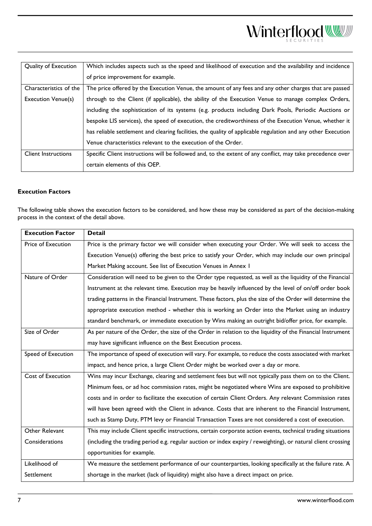| Quality of Execution       | Which includes aspects such as the speed and likelihood of execution and the availability and incidence       |
|----------------------------|---------------------------------------------------------------------------------------------------------------|
|                            | of price improvement for example.                                                                             |
| Characteristics of the     | The price offered by the Execution Venue, the amount of any fees and any other charges that are passed        |
| <b>Execution Venue(s)</b>  | through to the Client (if applicable), the ability of the Execution Venue to manage complex Orders,           |
|                            | including the sophistication of its systems (e.g. products including Dark Pools, Periodic Auctions or         |
|                            | bespoke LIS services), the speed of execution, the creditworthiness of the Execution Venue, whether it        |
|                            | has reliable settlement and clearing facilities, the quality of applicable regulation and any other Execution |
|                            | Venue characteristics relevant to the execution of the Order.                                                 |
| <b>Client Instructions</b> | Specific Client instructions will be followed and, to the extent of any conflict, may take precedence over    |
|                            | certain elements of this OEP.                                                                                 |

#### <span id="page-6-0"></span>**Execution Factors**

The following table shows the execution factors to be considered, and how these may be considered as part of the decision-making process in the context of the detail above.

| <b>Execution Factor</b> | <b>Detail</b>                                                                                                 |
|-------------------------|---------------------------------------------------------------------------------------------------------------|
| Price of Execution      | Price is the primary factor we will consider when executing your Order. We will seek to access the            |
|                         | Execution Venue(s) offering the best price to satisfy your Order, which may include our own principal         |
|                         | Market Making account. See list of Execution Venues in Annex I                                                |
| Nature of Order         | Consideration will need to be given to the Order type requested, as well as the liquidity of the Financial    |
|                         | Instrument at the relevant time. Execution may be heavily influenced by the level of on/off order book        |
|                         | trading patterns in the Financial Instrument. These factors, plus the size of the Order will determine the    |
|                         | appropriate execution method - whether this is working an Order into the Market using an industry             |
|                         | standard benchmark, or immediate execution by Wins making an outright bid/offer price, for example.           |
| Size of Order           | As per nature of the Order, the size of the Order in relation to the liquidity of the Financial Instrument    |
|                         | may have significant influence on the Best Execution process.                                                 |
| Speed of Execution      | The importance of speed of execution will vary. For example, to reduce the costs associated with market       |
|                         | impact, and hence price, a large Client Order might be worked over a day or more.                             |
| Cost of Execution       | Wins may incur Exchange, clearing and settlement fees but will not typically pass them on to the Client.      |
|                         | Minimum fees, or ad hoc commission rates, might be negotiated where Wins are exposed to prohibitive           |
|                         | costs and in order to facilitate the execution of certain Client Orders. Any relevant Commission rates        |
|                         | will have been agreed with the Client in advance. Costs that are inherent to the Financial Instrument,        |
|                         | such as Stamp Duty, PTM levy or Financial Transaction Taxes are not considered a cost of execution.           |
| Other Relevant          | This may include Client specific instructions, certain corporate action events, technical trading situations  |
| Considerations          | (including the trading period e.g. regular auction or index expiry / reweighting), or natural client crossing |
|                         | opportunities for example.                                                                                    |
| Likelihood of           | We measure the settlement performance of our counterparties, looking specifically at the failure rate. A      |
| Settlement              | shortage in the market (lack of liquidity) might also have a direct impact on price.                          |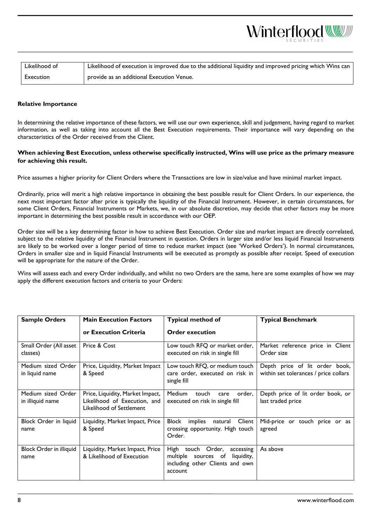

#### <span id="page-7-0"></span>**Relative Importance**

In determining the relative importance of these factors, we will use our own experience, skill and judgement, having regard to market information, as well as taking into account all the Best Execution requirements. Their importance will vary depending on the characteristics of the Order received from the Client.

#### **When achieving Best Execution, unless otherwise specifically instructed, Wins will use price as the primary measure for achieving this result.**

Price assumes a higher priority for Client Orders where the Transactions are low in size/value and have minimal market impact.

Ordinarily, price will merit a high relative importance in obtaining the best possible result for Client Orders. In our experience, the next most important factor after price is typically the liquidity of the Financial Instrument. However, in certain circumstances, for some Client Orders, Financial Instruments or Markets, we, in our absolute discretion, may decide that other factors may be more important in determining the best possible result in accordance with our OEP.

Order size will be a key determining factor in how to achieve Best Execution. Order size and market impact are directly correlated, subject to the relative liquidity of the Financial Instrument in question. Orders in larger size and/or less liquid Financial Instruments are likely to be worked over a longer period of time to reduce market impact (see 'Worked Orders'). In normal circumstances, Orders in smaller size and in liquid Financial Instruments will be executed as promptly as possible after receipt. Speed of execution will be appropriate for the nature of the Order.

Wins will assess each and every Order individually, and whilst no two Orders are the same, here are some examples of how we may apply the different execution factors and criteria to your Orders:

| <b>Sample Orders</b>                   | <b>Main Execution Factors</b>                                                                | <b>Typical method of</b>                                                                                                | <b>Typical Benchmark</b>                                                |
|----------------------------------------|----------------------------------------------------------------------------------------------|-------------------------------------------------------------------------------------------------------------------------|-------------------------------------------------------------------------|
|                                        | or Execution Criteria                                                                        | <b>Order execution</b>                                                                                                  |                                                                         |
| Small Order (All asset<br>classes)     | Price & Cost                                                                                 | Low touch RFQ or market order,<br>executed on risk in single fill                                                       | Market reference price in Client<br>Order size                          |
| Medium sized Order<br>in liquid name   | Price, Liquidity, Market Impact<br>& Speed                                                   | Low touch RFQ, or medium touch<br>care order, executed on risk in<br>single fill                                        | Depth price of lit order book,<br>within set tolerances / price collars |
| Medium sized Order<br>in illiquid name | Price, Liquidity, Market Impact,<br>Likelihood of Execution, and<br>Likelihood of Settlement | <b>Medium</b><br>touch<br>order,<br>care<br>executed on risk in single fill                                             | Depth price of lit order book, or<br>last traded price                  |
| Block Order in liquid<br>name          | Liquidity, Market Impact, Price<br>& Speed                                                   | <b>Block</b><br>Client<br>implies<br>natural<br>crossing opportunity. High touch<br>Order.                              | Mid-price or touch price or as<br>agreed                                |
| Block Order in illiquid<br>name        | Liquidity, Market Impact, Price<br>& Likelihood of Execution                                 | High<br>touch Order,<br>accessing<br>liquidity,<br>multiple<br>sources of<br>including other Clients and own<br>account | As above                                                                |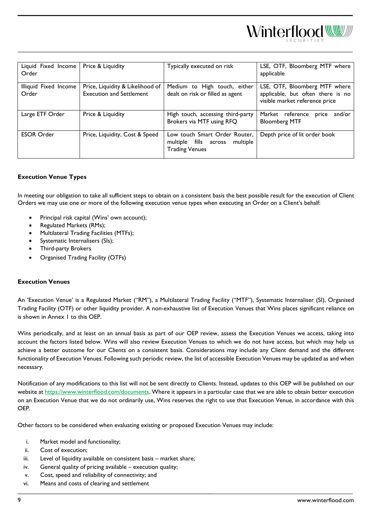| Liquid Fixed Income   | Price & Liquidity                | Typically executed on risk                                         | LSE, OTF, Bloomberg MTF where                                       |
|-----------------------|----------------------------------|--------------------------------------------------------------------|---------------------------------------------------------------------|
| Order                 |                                  |                                                                    | applicable                                                          |
| Illiquid Fixed Income | Price, Liquidity & Likelihood of | Medium to High touch, either                                       | LSE, OTF, Bloomberg MTF where                                       |
| Order                 | <b>Execution and Settlement</b>  | dealt on risk or filled as agent                                   | applicable, but often there is no<br>visible market reference price |
| Large ETF Order       | Price & Liquidity                | High touch, accessing third-party                                  | Market reference<br>and/or<br>price                                 |
|                       |                                  | Brokers via MTF using RFQ                                          | <b>Bloomberg MTF</b>                                                |
| <b>ESOR Order</b>     | Price, Liquidity, Cost & Speed   | Low touch Smart Order Router,<br>multiple fills across<br>multiple | Depth price of lit order book                                       |
|                       |                                  | <b>Trading Venues</b>                                              |                                                                     |
|                       |                                  |                                                                    |                                                                     |

#### <span id="page-8-0"></span>**Execution Venue Types**

In meeting our obligation to take all sufficient steps to obtain on a consistent basis the best possible result for the execution of Client Orders we may use one or more of the following execution venue types when executing an Order on a Client's behalf:

- Principal risk capital (Wins' own account);
- Regulated Markets (RMs);
- Multilateral Trading Facilities (MTFs);
- Systematic Internalisers (SIs);
- Third-party Brokers
- Organised Trading Facility (OTFs)

#### <span id="page-8-1"></span>**Execution Venues**

An 'Execution Venue' is a Regulated Market ("RM"), a Multilateral Trading Facility ("MTF"), Systematic Internaliser (SI), Organised Trading Facility (OTF) or other liquidity provider. A non-exhaustive list of Execution Venues that Wins places significant reliance on is shown in Annex 1 to this OEP.

Wins periodically, and at least on an annual basis as part of our OEP review, assess the Execution Venues we access, taking into account the factors listed below. Wins will also review Execution Venues to which we do not have access, but which may help us achieve a better outcome for our Clients on a consistent basis. Considerations may include any Client demand and the different functionality of Execution Venues. Following such periodic review, the list of accessible Execution Venues may be updated as and when necessary.

Notification of any modifications to this list will not be sent directly to Clients. Instead, updates to this OEP will be published on our website at [https://www.winterflood.com/documents.](https://www.winterflood.com/documents) Where it appears in a particular case that we are able to obtain better execution on an Execution Venue that we do not ordinarily use, Wins reserves the right to use that Execution Venue, in accordance with this OEP.

Other factors to be considered when evaluating existing or proposed Execution Venues may include:

- i. Market model and functionality;
- ii. Cost of execution;
- iii. Level of liquidity available on consistent basis market share;
- iv. General quality of pricing available execution quality;
- v. Cost, speed and reliability of connectivity; and
- vi. Means and costs of clearing and settlement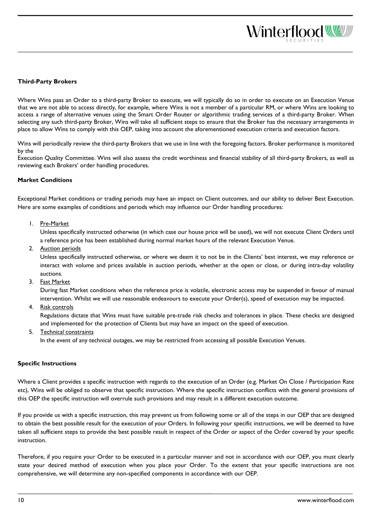<span id="page-9-0"></span>Where Wins pass an Order to a third-party Broker to execute, we will typically do so in order to execute on an Execution Venue that we are not able to access directly, for example, where Wins is not a member of a particular RM, or where Wins are looking to access a range of alternative venues using the Smart Order Router or algorithmic trading services of a third-party Broker. When selecting any such third-party Broker, Wins will take all sufficient steps to ensure that the Broker has the necessary arrangements in place to allow Wins to comply with this OEP, taking into account the aforementioned execution criteria and execution factors.

Wins will periodically review the third-party Brokers that we use in line with the foregoing factors. Broker performance is monitored by the

Execution Quality Committee. Wins will also assess the credit worthiness and financial stability of all third-party Brokers, as well as reviewing each Brokers' order handling procedures.

#### <span id="page-9-1"></span>**Market Conditions**

Exceptional Market conditions or trading periods may have an impact on Client outcomes, and our ability to deliver Best Execution. Here are some examples of conditions and periods which may influence our Order handling procedures:

1. Pre-Market

Unless specifically instructed otherwise (in which case our house price will be used), we will not execute Client Orders until a reference price has been established during normal market hours of the relevant Execution Venue.

2. Auction periods

Unless specifically instructed otherwise, or where we deem it to not be in the Clients' best interest, we may reference or interact with volume and prices available in auction periods, whether at the open or close, or during intra-day volatility auctions.

3. Fast Market

During fast Market conditions when the reference price is volatile, electronic access may be suspended in favour of manual intervention. Whilst we will use reasonable endeavours to execute your Order(s), speed of execution may be impacted.

4. Risk controls

Regulations dictate that Wins must have suitable pre-trade risk checks and tolerances in place. These checks are designed and implemented for the protection of Clients but may have an impact on the speed of execution.

5. Technical constraints

In the event of any technical outages, we may be restricted from accessing all possible Execution Venues.

#### <span id="page-9-2"></span>**Specific Instructions**

Where a Client provides a specific instruction with regards to the execution of an Order (e.g. Market On Close / Participation Rate etc), Wins will be obliged to observe that specific instruction. Where the specific instruction conflicts with the general provisions of this OEP the specific instruction will overrule such provisions and may result in a different execution outcome.

If you provide us with a specific instruction, this may prevent us from following some or all of the steps in our OEP that are designed to obtain the best possible result for the execution of your Orders. In following your specific instructions, we will be deemed to have taken all sufficient steps to provide the best possible result in respect of the Order or aspect of the Order covered by your specific instruction.

Therefore, if you require your Order to be executed in a particular manner and not in accordance with our OEP, you must clearly state your desired method of execution when you place your Order. To the extent that your specific instructions are not comprehensive, we will determine any non-specified components in accordance with our OEP.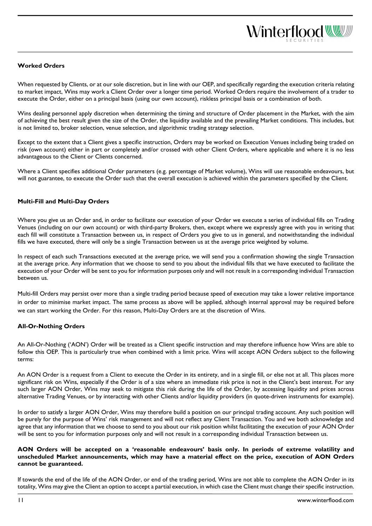#### <span id="page-10-0"></span>**Worked Orders**

When requested by Clients, or at our sole discretion, but in line with our OEP, and specifically regarding the execution criteria relating to market impact, Wins may work a Client Order over a longer time period. Worked Orders require the involvement of a trader to execute the Order, either on a principal basis (using our own account), riskless principal basis or a combination of both.

Wins dealing personnel apply discretion when determining the timing and structure of Order placement in the Market, with the aim of achieving the best result given the size of the Order, the liquidity available and the prevailing Market conditions. This includes, but is not limited to, broker selection, venue selection, and algorithmic trading strategy selection.

Except to the extent that a Client gives a specific instruction, Orders may be worked on Execution Venues including being traded on risk (own account) either in part or completely and/or crossed with other Client Orders, where applicable and where it is no less advantageous to the Client or Clients concerned.

Where a Client specifies additional Order parameters (e.g. percentage of Market volume), Wins will use reasonable endeavours, but will not guarantee, to execute the Order such that the overall execution is achieved within the parameters specified by the Client.

#### <span id="page-10-1"></span>**Multi-Fill and Multi-Day Orders**

Where you give us an Order and, in order to facilitate our execution of your Order we execute a series of individual fills on Trading Venues (including on our own account) or with third-party Brokers, then, except where we expressly agree with you in writing that each fill will constitute a Transaction between us, in respect of Orders you give to us in general, and notwithstanding the individual fills we have executed, there will only be a single Transaction between us at the average price weighted by volume.

In respect of each such Transactions executed at the average price, we will send you a confirmation showing the single Transaction at the average price. Any information that we choose to send to you about the individual fills that we have executed to facilitate the execution of your Order will be sent to you for information purposes only and will not result in a corresponding individual Transaction between us.

Multi-fill Orders may persist over more than a single trading period because speed of execution may take a lower relative importance in order to minimise market impact. The same process as above will be applied, although internal approval may be required before we can start working the Order. For this reason, Multi-Day Orders are at the discretion of Wins.

#### <span id="page-10-2"></span>**All-Or-Nothing Orders**

An All-Or-Nothing ('AON') Order will be treated as a Client specific instruction and may therefore influence how Wins are able to follow this OEP. This is particularly true when combined with a limit price. Wins will accept AON Orders subject to the following terms:

An AON Order is a request from a Client to execute the Order in its entirety, and in a single fill, or else not at all. This places more significant risk on Wins, especially if the Order is of a size where an immediate risk price is not in the Client's best interest. For any such larger AON Order, Wins may seek to mitigate this risk during the life of the Order, by accessing liquidity and prices across alternative Trading Venues, or by interacting with other Clients and/or liquidity providers (in quote-driven instruments for example).

In order to satisfy a larger AON Order, Wins may therefore build a position on our principal trading account. Any such position will be purely for the purpose of Wins' risk management and will not reflect any Client Transaction. You and we both acknowledge and agree that any information that we choose to send to you about our risk position whilst facilitating the execution of your AON Order will be sent to you for information purposes only and will not result in a corresponding individual Transaction between us.

#### **AON Orders will be accepted on a 'reasonable endeavours' basis only. In periods of extreme volatility and unscheduled Market announcements, which may have a material effect on the price, execution of AON Orders cannot be guaranteed.**

If towards the end of the life of the AON Order, or end of the trading period, Wins are not able to complete the AON Order in its totality, Wins may give the Client an option to accept a partial execution, in which case the Client must change their specific instruction.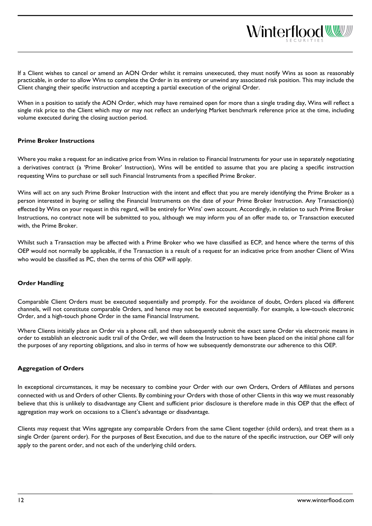If a Client wishes to cancel or amend an AON Order whilst it remains unexecuted, they must notify Wins as soon as reasonably practicable, in order to allow Wins to complete the Order in its entirety or unwind any associated risk position. This may include the Client changing their specific instruction and accepting a partial execution of the original Order.

When in a position to satisfy the AON Order, which may have remained open for more than a single trading day, Wins will reflect a single risk price to the Client which may or may not reflect an underlying Market benchmark reference price at the time, including volume executed during the closing auction period.

#### <span id="page-11-0"></span>**Prime Broker Instructions**

Where you make a request for an indicative price from Wins in relation to Financial Instruments for your use in separately negotiating a derivatives contract (a 'Prime Broker' Instruction), Wins will be entitled to assume that you are placing a specific instruction requesting Wins to purchase or sell such Financial Instruments from a specified Prime Broker.

Wins will act on any such Prime Broker Instruction with the intent and effect that you are merely identifying the Prime Broker as a person interested in buying or selling the Financial Instruments on the date of your Prime Broker Instruction. Any Transaction(s) effected by Wins on your request in this regard, will be entirely for Wins' own account. Accordingly, in relation to such Prime Broker Instructions, no contract note will be submitted to you, although we may inform you of an offer made to, or Transaction executed with, the Prime Broker.

Whilst such a Transaction may be affected with a Prime Broker who we have classified as ECP, and hence where the terms of this OEP would not normally be applicable, if the Transaction is a result of a request for an indicative price from another Client of Wins who would be classified as PC, then the terms of this OEP will apply.

#### <span id="page-11-1"></span>**Order Handling**

Comparable Client Orders must be executed sequentially and promptly. For the avoidance of doubt, Orders placed via different channels, will not constitute comparable Orders, and hence may not be executed sequentially. For example, a low-touch electronic Order, and a high-touch phone Order in the same Financial Instrument.

Where Clients initially place an Order via a phone call, and then subsequently submit the exact same Order via electronic means in order to establish an electronic audit trail of the Order, we will deem the Instruction to have been placed on the initial phone call for the purposes of any reporting obligations, and also in terms of how we subsequently demonstrate our adherence to this OEP.

#### <span id="page-11-2"></span>**Aggregation of Orders**

In exceptional circumstances, it may be necessary to combine your Order with our own Orders, Orders of Affiliates and persons connected with us and Orders of other Clients. By combining your Orders with those of other Clients in this way we must reasonably believe that this is unlikely to disadvantage any Client and sufficient prior disclosure is therefore made in this OEP that the effect of aggregation may work on occasions to a Client's advantage or disadvantage.

Clients may request that Wins aggregate any comparable Orders from the same Client together (child orders), and treat them as a single Order (parent order). For the purposes of Best Execution, and due to the nature of the specific instruction, our OEP will only apply to the parent order, and not each of the underlying child orders.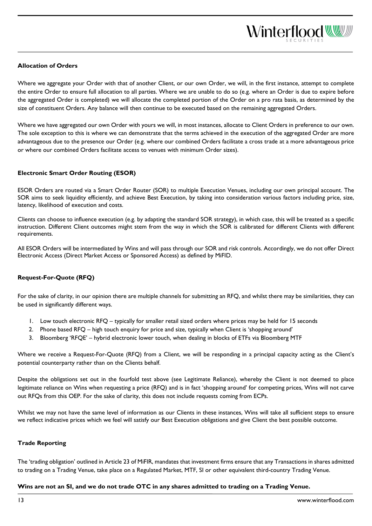#### <span id="page-12-0"></span>**Allocation of Orders**

Where we aggregate your Order with that of another Client, or our own Order, we will, in the first instance, attempt to complete the entire Order to ensure full allocation to all parties. Where we are unable to do so (e.g. where an Order is due to expire before the aggregated Order is completed) we will allocate the completed portion of the Order on a pro rata basis, as determined by the size of constituent Orders. Any balance will then continue to be executed based on the remaining aggregated Orders.

Where we have aggregated our own Order with yours we will, in most instances, allocate to Client Orders in preference to our own. The sole exception to this is where we can demonstrate that the terms achieved in the execution of the aggregated Order are more advantageous due to the presence our Order (e.g. where our combined Orders facilitate a cross trade at a more advantageous price or where our combined Orders facilitate access to venues with minimum Order sizes).

#### <span id="page-12-1"></span>**Electronic Smart Order Routing (ESOR)**

ESOR Orders are routed via a Smart Order Router (SOR) to multiple Execution Venues, including our own principal account. The SOR aims to seek liquidity efficiently, and achieve Best Execution, by taking into consideration various factors including price, size, latency, likelihood of execution and costs.

Clients can choose to influence execution (e.g. by adapting the standard SOR strategy), in which case, this will be treated as a specific instruction. Different Client outcomes might stem from the way in which the SOR is calibrated for different Clients with different requirements.

All ESOR Orders will be intermediated by Wins and will pass through our SOR and risk controls. Accordingly, we do not offer Direct Electronic Access (Direct Market Access or Sponsored Access) as defined by MiFID.

#### <span id="page-12-2"></span>**Request-For-Quote (RFQ)**

For the sake of clarity, in our opinion there are multiple channels for submitting an RFQ, and whilst there may be similarities, they can be used in significantly different ways.

- 1. Low touch electronic RFQ typically for smaller retail sized orders where prices may be held for 15 seconds
- 2. Phone based RFQ high touch enquiry for price and size, typically when Client is 'shopping around'
- 3. Bloomberg 'RFQE' hybrid electronic lower touch, when dealing in blocks of ETFs via Bloomberg MTF

Where we receive a Request-For-Quote (RFQ) from a Client, we will be responding in a principal capacity acting as the Client's potential counterparty rather than on the Clients behalf.

Despite the obligations set out in the fourfold test above (see Legitimate Reliance), whereby the Client is not deemed to place legitimate reliance on Wins when requesting a price (RFQ) and is in fact 'shopping around' for competing prices, Wins will not carve out RFQs from this OEP. For the sake of clarity, this does not include requests coming from ECPs.

Whilst we may not have the same level of information as our Clients in these instances, Wins will take all sufficient steps to ensure we reflect indicative prices which we feel will satisfy our Best Execution obligations and give Client the best possible outcome.

#### <span id="page-12-3"></span>**Trade Reporting**

The 'trading obligation' outlined in Article 23 of MiFIR, mandates that investment firms ensure that any Transactions in shares admitted to trading on a Trading Venue, take place on a Regulated Market, MTF, SI or other equivalent third-country Trading Venue.

**Wins are not an SI, and we do not trade OTC in any shares admitted to trading on a Trading Venue.**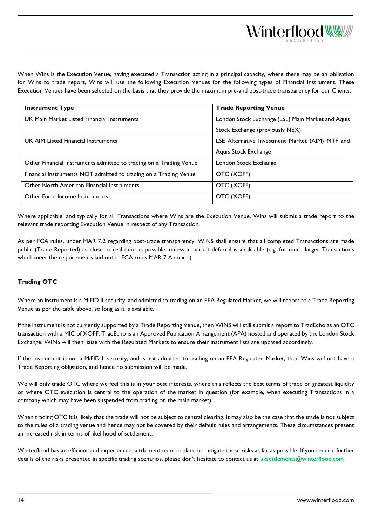When Wins is the Execution Venue, having executed a Transaction acting in a principal capacity, where there may be an obligation for Wins to trade report, Wins will use the following Execution Venues for the following types of Financial Instrument. These Execution Venues have been selected on the basis that they provide the maximum pre-and post-trade transparency for our Clients:

| <b>Instrument Type</b>                                             | <b>Trade Reporting Venue</b>                      |
|--------------------------------------------------------------------|---------------------------------------------------|
| UK Main Market Listed Financial Instruments                        | London Stock Exchange (LSE) Main Market and Aquis |
|                                                                    | Stock Exchange (previously NEX)                   |
| UK AIM Listed Financial Instruments                                | LSE Alternative Investment Market (AIM) MTF and   |
|                                                                    | Aquis Stock Exchange                              |
| Other Financial Instruments admitted to trading on a Trading Venue | London Stock Exchange                             |
| Financial Instruments NOT admitted to trading on a Trading Venue   | OTC (XOFF)                                        |
| Other North American Financial Instruments                         | OTC (XOFF)                                        |
| <b>Other Fixed Income Instruments</b>                              | OTC (XOFF)                                        |

Where applicable, and typically for all Transactions where Wins are the Execution Venue, Wins will submit a trade report to the relevant trade reporting Execution Venue in respect of any Transaction.

As per FCA rules, under MAR 7.2 regarding post-trade transparency, WINS shall ensure that all completed Transactions are made public (Trade Reported) as close to real-time as possible, unless a market deferral is applicable (e.g. for much larger Transactions which meet the requirements laid out in FCA rules MAR 7 Annex 1).

#### <span id="page-13-0"></span>**Trading OTC**

Where an instrument is a MiFID II security, and admitted to trading on an EEA Regulated Market, we will report to a Trade Reporting Venue as per the table above, so long as it is available.

If the instrument is not currently supported by a Trade Reporting Venue, then WINS will still submit a report to TradEcho as an OTC transaction with a MIC of XOFF. TradEcho is an Approved Publication Arrangement (APA) hosted and operated by the London Stock Exchange. WINS will then liaise with the Regulated Markets to ensure their instrument lists are updated accordingly.

If the instrument is not a MiFID II security, and is not admitted to trading on an EEA Regulated Market, then Wins will not have a Trade Reporting obligation, and hence no submission will be made.

We will only trade OTC where we feel this is in your best interests, where this reflects the best terms of trade or greatest liquidity or where OTC execution is central to the operation of the market in question (for example, when executing Transactions in a company which may have been suspended from trading on the main market).

When trading OTC it is likely that the trade will not be subject to central clearing. It may also be the case that the trade is not subject to the rules of a trading venue and hence may not be covered by their default rules and arrangements. These circumstances present an increased risk in terms of likelihood of settlement.

Winterflood has an efficient and experienced settlement team in place to mitigate these risks as far as possible. If you require further details of the risks presented in specific trading scenarios, please don't hesitate to contact us at [uksettlements@winterflood.com](mailto:uksettlements@winterflood.com)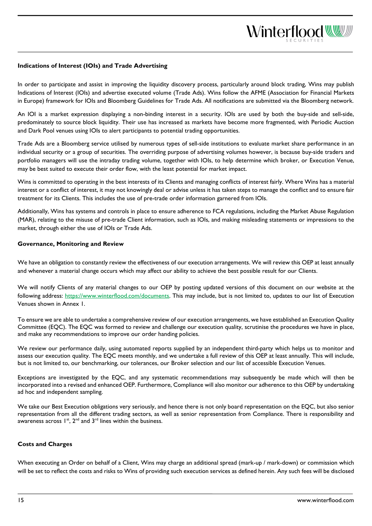#### <span id="page-14-0"></span>**Indications of Interest (IOIs) and Trade Advertising**

In order to participate and assist in improving the liquidity discovery process, particularly around block trading, Wins may publish Indications of Interest (IOIs) and advertise executed volume (Trade Ads). Wins follow the AFME (Association for Financial Markets in Europe) framework for IOIs and Bloomberg Guidelines for Trade Ads. All notifications are submitted via the Bloomberg network.

An IOI is a market expression displaying a non-binding interest in a security. IOIs are used by both the buy-side and sell-side, predominately to source block liquidity. Their use has increased as markets have become more fragmented, with Periodic Auction and Dark Pool venues using IOIs to alert participants to potential trading opportunities.

Trade Ads are a Bloomberg service utilised by numerous types of sell-side institutions to evaluate market share performance in an individual security or a group of securities. The overriding purpose of advertising volumes however, is because buy-side traders and portfolio managers will use the intraday trading volume, together with IOIs, to help determine which broker, or Execution Venue, may be best suited to execute their order flow, with the least potential for market impact.

Wins is committed to operating in the best interests of its Clients and managing conflicts of interest fairly. Where Wins has a material interest or a conflict of interest, it may not knowingly deal or advise unless it has taken steps to manage the conflict and to ensure fair treatment for its Clients. This includes the use of pre-trade order information garnered from IOIs.

Additionally, Wins has systems and controls in place to ensure adherence to FCA regulations, including the Market Abuse Regulation (MAR), relating to the misuse of pre-trade Client information, such as IOIs, and making misleading statements or impressions to the market, through either the use of IOIs or Trade Ads.

#### <span id="page-14-1"></span>**Governance, Monitoring and Review**

We have an obligation to constantly review the effectiveness of our execution arrangements. We will review this OEP at least annually and whenever a material change occurs which may affect our ability to achieve the best possible result for our Clients.

We will notify Clients of any material changes to our OEP by posting updated versions of this document on our website at the following address: [https://www.winterflood.com/documents.](https://www.winterflood.com/documents) This may include, but is not limited to, updates to our list of Execution Venues shown in Annex 1.

To ensure we are able to undertake a comprehensive review of our execution arrangements, we have established an Execution Quality Committee (EQC). The EQC was formed to review and challenge our execution quality, scrutinise the procedures we have in place, and make any recommendations to improve our order handing policies.

We review our performance daily, using automated reports supplied by an independent third-party which helps us to monitor and assess our execution quality. The EQC meets monthly, and we undertake a full review of this OEP at least annually. This will include, but is not limited to, our benchmarking, our tolerances, our Broker selection and our list of accessible Execution Venues.

Exceptions are investigated by the EQC, and any systematic recommendations may subsequently be made which will then be incorporated into a revised and enhanced OEP. Furthermore, Compliance will also monitor our adherence to this OEP by undertaking ad hoc and independent sampling.

We take our Best Execution obligations very seriously, and hence there is not only board representation on the EQC, but also senior representation from all the different trading sectors, as well as senior representation from Compliance. There is responsibility and awareness across  $1^{st}$ ,  $2^{nd}$  and  $3^{rd}$  lines within the business.

#### <span id="page-14-2"></span>**Costs and Charges**

When executing an Order on behalf of a Client, Wins may charge an additional spread (mark-up / mark-down) or commission which will be set to reflect the costs and risks to Wins of providing such execution services as defined herein. Any such fees will be disclosed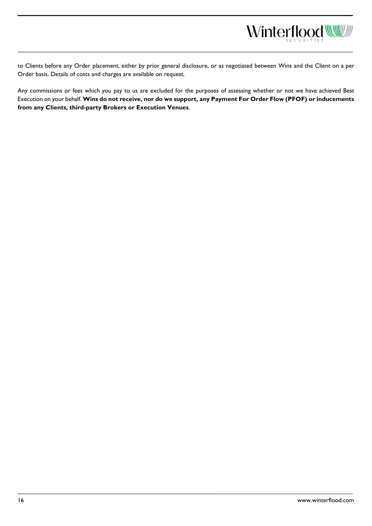

to Clients before any Order placement, either by prior general disclosure, or as negotiated between Wins and the Client on a per

Any commissions or fees which you pay to us are excluded for the purposes of assessing whether or not we have achieved Best Execution on your behalf. **Wins do not receive, nor do we support, any Payment For Order Flow (PFOF) or inducements** 

Order basis. Details of costs and charges are available on request.

**from any Clients, third-party Brokers or Execution Venues**.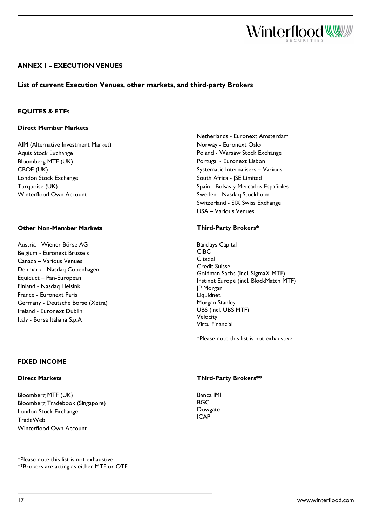

#### <span id="page-16-0"></span>**ANNEX 1 – EXECUTION VENUES**

#### **List of current Execution Venues, other markets, and third-party Brokers**

#### **EQUITES & ETFs**

#### **Direct Member Markets**

AIM (Alternative Investment Market) Aquis Stock Exchange Bloomberg MTF (UK) CBOE (UK) London Stock Exchange Turquoise (UK) Winterflood Own Account

#### **Other Non-Member Markets**

Austria - Wiener Börse AG Belgium - Euronext Brussels Canada – Various Venues Denmark - Nasdaq Copenhagen Equiduct – Pan-European Finland - Nasdaq Helsinki France - Euronext Paris Germany - Deutsche Börse (Xetra) Ireland - Euronext Dublin Italy - Borsa Italiana S.p.A

#### Netherlands - Euronext Amsterdam Norway - Euronext Oslo Poland - Warsaw Stock Exchange Portugal - Euronext Lisbon Systematic Internalisers – Various South Africa - JSE Limited Spain - Bolsas y Mercados Españoles Sweden - Nasdaq Stockholm Switzerland - SIX Swiss Exchange USA – Various Venues

#### **Third-Party Brokers\***

Barclays Capital CIBC Citadel Credit Suisse Goldman Sachs (incl. SigmaX MTF) Instinet Europe (incl. BlockMatch MTF) JP Morgan Liquidnet Morgan Stanley UBS (incl. UBS MTF) Velocity Virtu Financial

\*Please note this list is not exhaustive

#### **FIXED INCOME**

#### **Direct Markets**

Bloomberg MTF (UK) Bloomberg Tradebook (Singapore) London Stock Exchange TradeWeb Winterflood Own Account

\*Please note this list is not exhaustive \*\*Brokers are acting as either MTF or OTF

#### **Third-Party Brokers\*\***

<span id="page-16-1"></span>Banca IMI **BGC** Dowgate ICAP